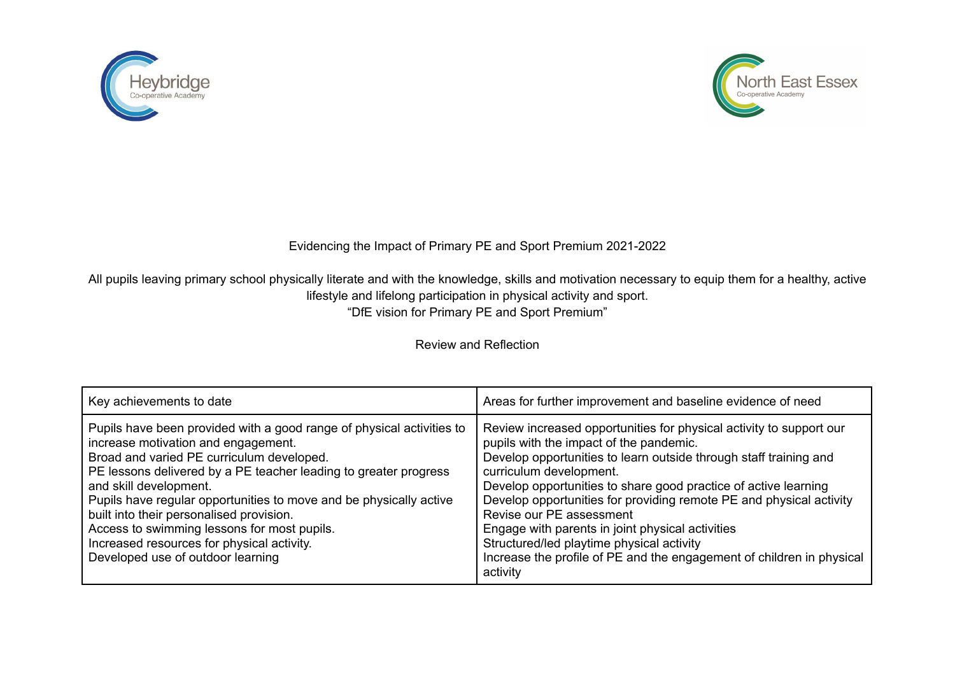



## Evidencing the Impact of Primary PE and Sport Premium 2021-2022

All pupils leaving primary school physically literate and with the knowledge, skills and motivation necessary to equip them for a healthy, active lifestyle and lifelong participation in physical activity and sport. "DfE vision for Primary PE and Sport Premium"

Review and Reflection

| Key achievements to date                                                                                                                                                                                                                                                                                                                                                                                                                                                                                    | Areas for further improvement and baseline evidence of need                                                                                                                                                                                                                                                                                                                                                                                                                                                                                                                |
|-------------------------------------------------------------------------------------------------------------------------------------------------------------------------------------------------------------------------------------------------------------------------------------------------------------------------------------------------------------------------------------------------------------------------------------------------------------------------------------------------------------|----------------------------------------------------------------------------------------------------------------------------------------------------------------------------------------------------------------------------------------------------------------------------------------------------------------------------------------------------------------------------------------------------------------------------------------------------------------------------------------------------------------------------------------------------------------------------|
| Pupils have been provided with a good range of physical activities to<br>increase motivation and engagement.<br>Broad and varied PE curriculum developed.<br>PE lessons delivered by a PE teacher leading to greater progress<br>and skill development.<br>Pupils have regular opportunities to move and be physically active<br>built into their personalised provision.<br>Access to swimming lessons for most pupils.<br>Increased resources for physical activity.<br>Developed use of outdoor learning | Review increased opportunities for physical activity to support our<br>pupils with the impact of the pandemic.<br>Develop opportunities to learn outside through staff training and<br>curriculum development.<br>Develop opportunities to share good practice of active learning<br>Develop opportunities for providing remote PE and physical activity<br>Revise our PE assessment<br>Engage with parents in joint physical activities<br>Structured/led playtime physical activity<br>Increase the profile of PE and the engagement of children in physical<br>activity |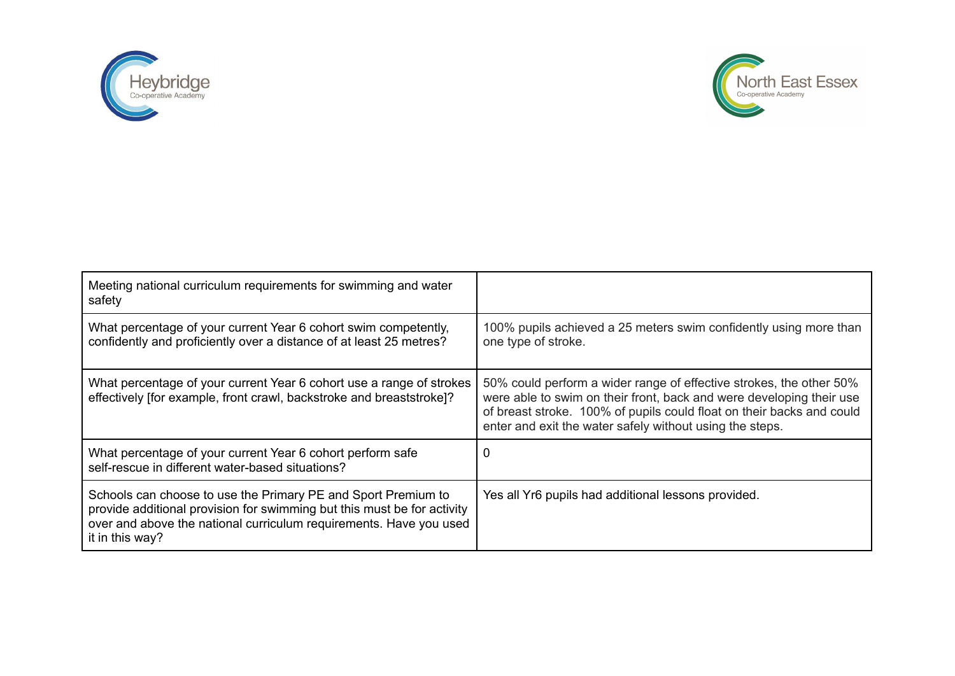



| Meeting national curriculum requirements for swimming and water<br>safety                                                                                                                                                         |                                                                                                                                                                                                                                                                                  |
|-----------------------------------------------------------------------------------------------------------------------------------------------------------------------------------------------------------------------------------|----------------------------------------------------------------------------------------------------------------------------------------------------------------------------------------------------------------------------------------------------------------------------------|
| What percentage of your current Year 6 cohort swim competently,<br>confidently and proficiently over a distance of at least 25 metres?                                                                                            | 100% pupils achieved a 25 meters swim confidently using more than<br>one type of stroke.                                                                                                                                                                                         |
| What percentage of your current Year 6 cohort use a range of strokes<br>effectively [for example, front crawl, backstroke and breaststroke]?                                                                                      | 50% could perform a wider range of effective strokes, the other 50%<br>were able to swim on their front, back and were developing their use<br>of breast stroke. 100% of pupils could float on their backs and could<br>enter and exit the water safely without using the steps. |
| What percentage of your current Year 6 cohort perform safe<br>self-rescue in different water-based situations?                                                                                                                    | U                                                                                                                                                                                                                                                                                |
| Schools can choose to use the Primary PE and Sport Premium to<br>provide additional provision for swimming but this must be for activity<br>over and above the national curriculum requirements. Have you used<br>it in this way? | Yes all Yr6 pupils had additional lessons provided.                                                                                                                                                                                                                              |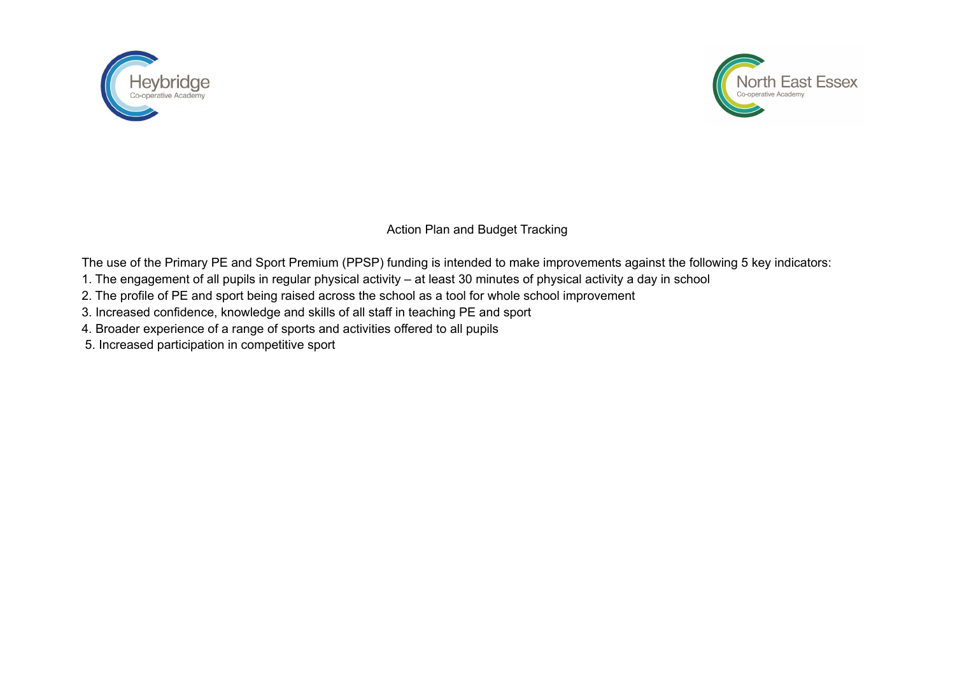



Action Plan and Budget Tracking

The use of the Primary PE and Sport Premium (PPSP) funding is intended to make improvements against the following 5 key indicators:

- 1. The engagement of all pupils in regular physical activity at least 30 minutes of physical activity a day in school
- 2. The profile of PE and sport being raised across the school as a tool for whole school improvement
- 3. Increased confidence, knowledge and skills of all staff in teaching PE and sport
- 4. Broader experience of a range of sports and activities offered to all pupils
- 5. Increased participation in competitive sport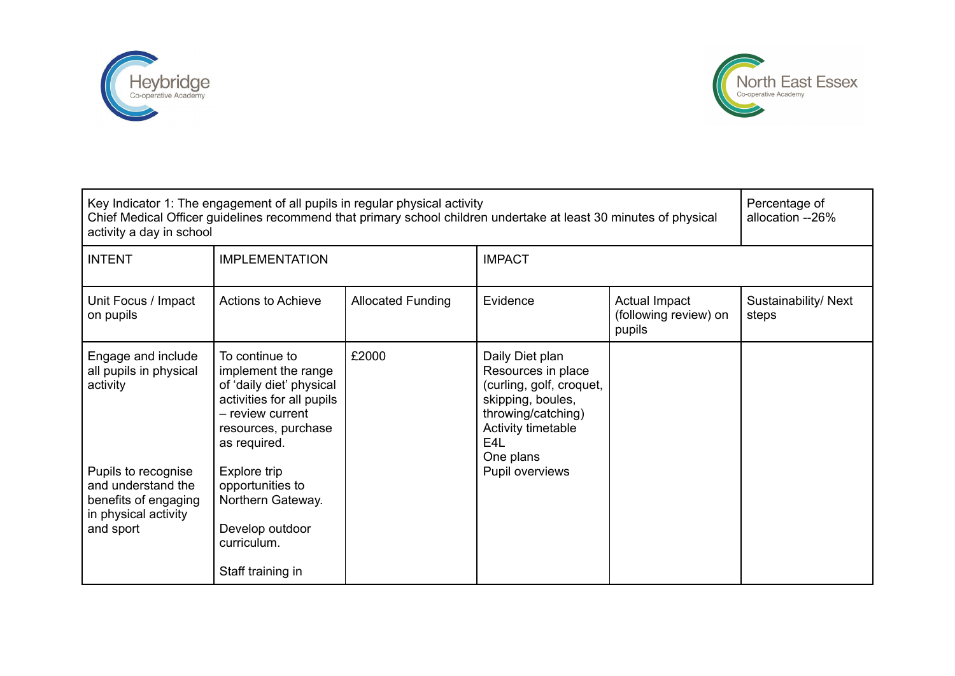



| Key Indicator 1: The engagement of all pupils in regular physical activity<br>Chief Medical Officer guidelines recommend that primary school children undertake at least 30 minutes of physical<br>activity a day in school |                                                                                                                                                           |                          |                                                                                                                                                                     |                                                  | Percentage of<br>allocation --26% |
|-----------------------------------------------------------------------------------------------------------------------------------------------------------------------------------------------------------------------------|-----------------------------------------------------------------------------------------------------------------------------------------------------------|--------------------------|---------------------------------------------------------------------------------------------------------------------------------------------------------------------|--------------------------------------------------|-----------------------------------|
| <b>INTENT</b>                                                                                                                                                                                                               | <b>IMPLEMENTATION</b>                                                                                                                                     |                          | <b>IMPACT</b>                                                                                                                                                       |                                                  |                                   |
| Unit Focus / Impact<br>on pupils                                                                                                                                                                                            | <b>Actions to Achieve</b>                                                                                                                                 | <b>Allocated Funding</b> | Evidence                                                                                                                                                            | Actual Impact<br>(following review) on<br>pupils | Sustainability/Next<br>steps      |
| Engage and include<br>all pupils in physical<br>activity                                                                                                                                                                    | To continue to<br>implement the range<br>of 'daily diet' physical<br>activities for all pupils<br>- review current<br>resources, purchase<br>as required. | £2000                    | Daily Diet plan<br>Resources in place<br>(curling, golf, croquet,<br>skipping, boules,<br>throwing/catching)<br>Activity timetable<br>E <sub>4</sub> L<br>One plans |                                                  |                                   |
| Pupils to recognise<br>and understand the<br>benefits of engaging<br>in physical activity<br>and sport                                                                                                                      | Explore trip<br>opportunities to<br>Northern Gateway.<br>Develop outdoor<br>curriculum.<br>Staff training in                                              |                          | Pupil overviews                                                                                                                                                     |                                                  |                                   |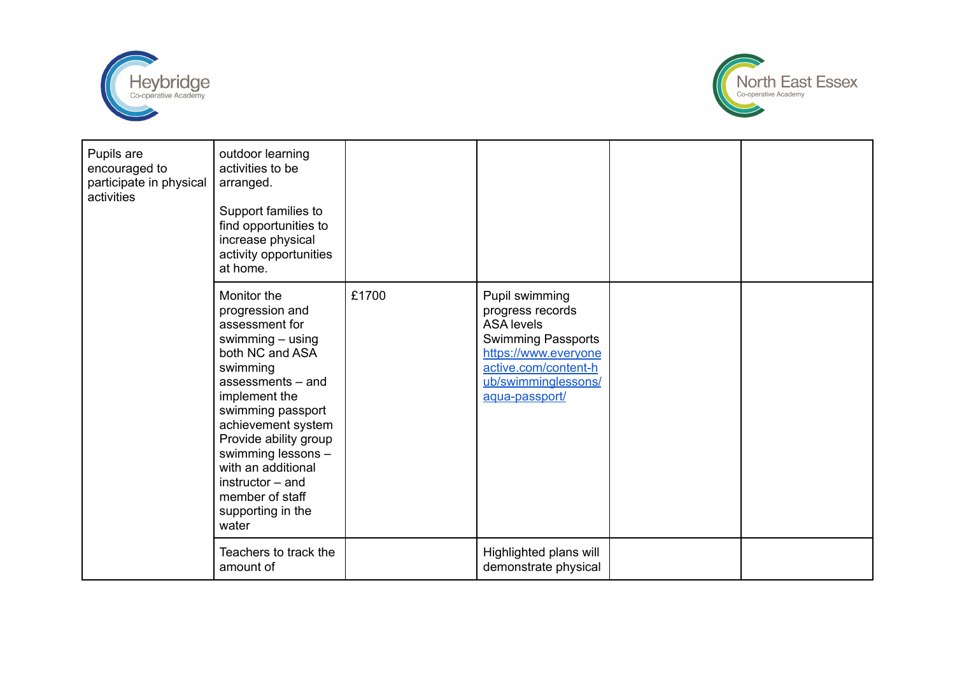



| Pupils are<br>encouraged to<br>participate in physical<br>activities | outdoor learning<br>activities to be<br>arranged.<br>Support families to<br>find opportunities to<br>increase physical<br>activity opportunities<br>at home.                                                                                                                                                                       |       |                                                                                                                                                                        |  |
|----------------------------------------------------------------------|------------------------------------------------------------------------------------------------------------------------------------------------------------------------------------------------------------------------------------------------------------------------------------------------------------------------------------|-------|------------------------------------------------------------------------------------------------------------------------------------------------------------------------|--|
|                                                                      | Monitor the<br>progression and<br>assessment for<br>swimming $-$ using<br>both NC and ASA<br>swimming<br>assessments - and<br>implement the<br>swimming passport<br>achievement system<br>Provide ability group<br>swimming lessons -<br>with an additional<br>$instructor - and$<br>member of staff<br>supporting in the<br>water | £1700 | Pupil swimming<br>progress records<br><b>ASA</b> levels<br>Swimming Passports<br>https://www.everyone<br>active.com/content-h<br>ub/swimminglessons/<br>aqua-passport/ |  |
|                                                                      | Teachers to track the<br>amount of                                                                                                                                                                                                                                                                                                 |       | Highlighted plans will<br>demonstrate physical                                                                                                                         |  |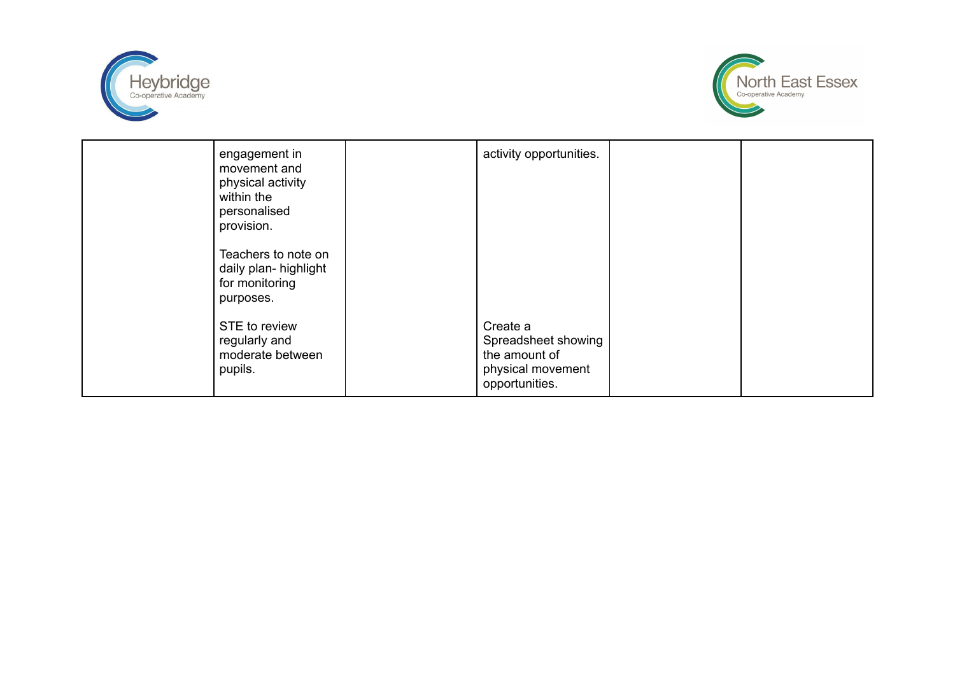



| engagement in<br>movement and<br>physical activity<br>within the<br>personalised<br>provision.<br>Teachers to note on<br>daily plan- highlight<br>for monitoring<br>purposes. | activity opportunities.                                                                 |  |
|-------------------------------------------------------------------------------------------------------------------------------------------------------------------------------|-----------------------------------------------------------------------------------------|--|
| STE to review<br>regularly and<br>moderate between<br>pupils.                                                                                                                 | Create a<br>Spreadsheet showing<br>the amount of<br>physical movement<br>opportunities. |  |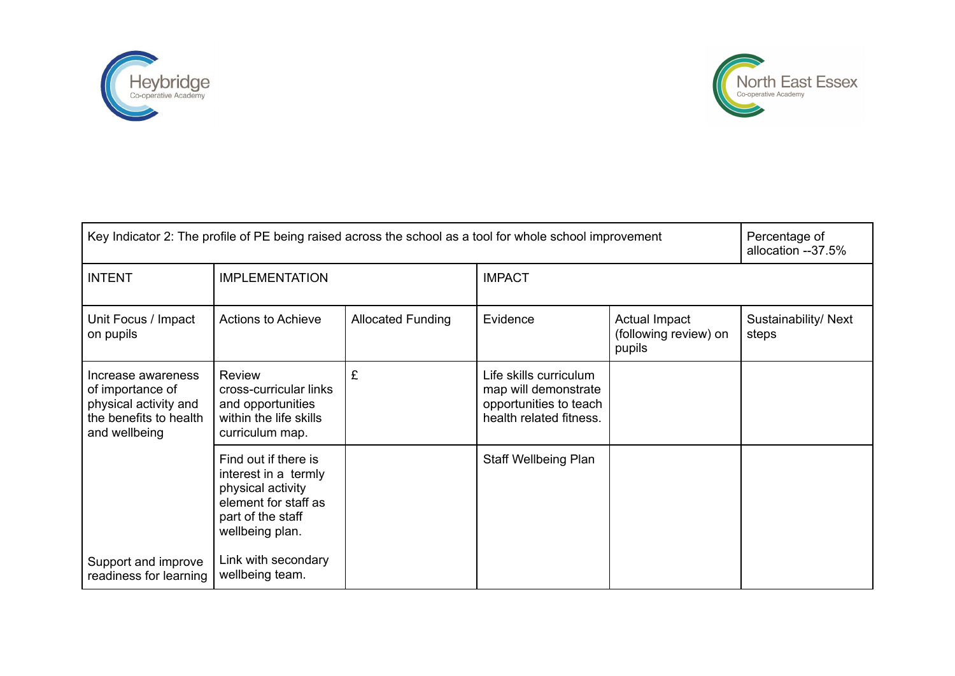



| Key Indicator 2: The profile of PE being raised across the school as a tool for whole school improvement   |                                                                                                                                   |                          |                                                                                                     |                                                  | Percentage of<br>allocation --37.5% |
|------------------------------------------------------------------------------------------------------------|-----------------------------------------------------------------------------------------------------------------------------------|--------------------------|-----------------------------------------------------------------------------------------------------|--------------------------------------------------|-------------------------------------|
| <b>INTENT</b>                                                                                              | <b>IMPLEMENTATION</b>                                                                                                             |                          | <b>IMPACT</b>                                                                                       |                                                  |                                     |
| Unit Focus / Impact<br>on pupils                                                                           | <b>Actions to Achieve</b>                                                                                                         | <b>Allocated Funding</b> | Evidence                                                                                            | Actual Impact<br>(following review) on<br>pupils | Sustainability/ Next<br>steps       |
| Increase awareness<br>of importance of<br>physical activity and<br>the benefits to health<br>and wellbeing | <b>Review</b><br>cross-curricular links<br>and opportunities<br>within the life skills<br>curriculum map.                         | £                        | Life skills curriculum<br>map will demonstrate<br>opportunities to teach<br>health related fitness. |                                                  |                                     |
|                                                                                                            | Find out if there is<br>interest in a termly<br>physical activity<br>element for staff as<br>part of the staff<br>wellbeing plan. |                          | <b>Staff Wellbeing Plan</b>                                                                         |                                                  |                                     |
| Support and improve<br>readiness for learning                                                              | Link with secondary<br>wellbeing team.                                                                                            |                          |                                                                                                     |                                                  |                                     |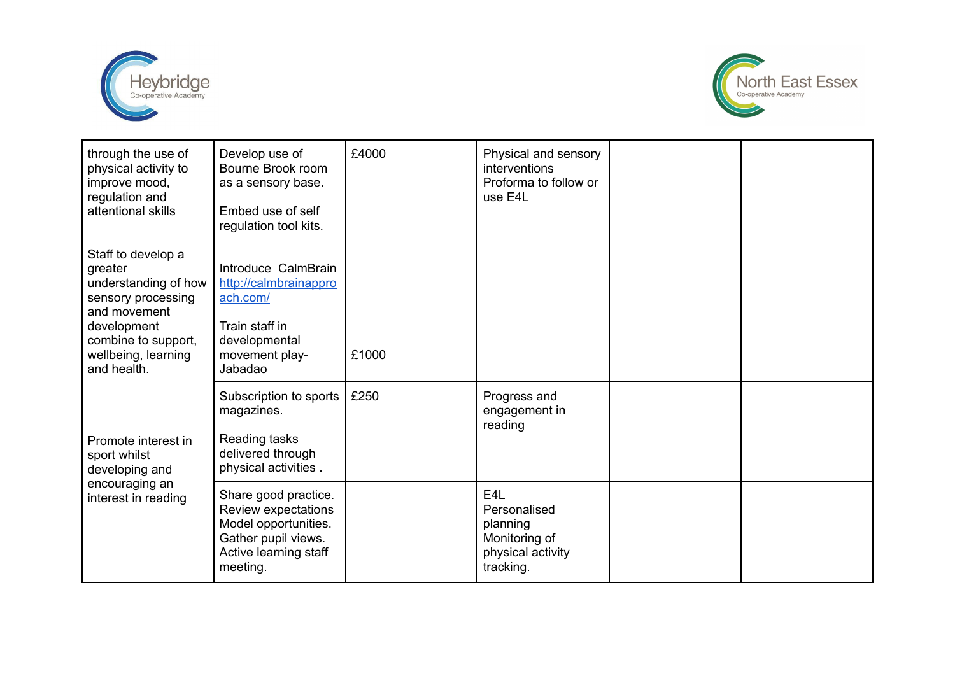



| through the use of<br>physical activity to<br>improve mood,<br>regulation and<br>attentional skills                                                                     | Develop use of<br>Bourne Brook room<br>as a sensory base.<br>Embed use of self<br>regulation tool kits.                         | £4000 | Physical and sensory<br>interventions<br>Proforma to follow or<br>use E4L                       |  |
|-------------------------------------------------------------------------------------------------------------------------------------------------------------------------|---------------------------------------------------------------------------------------------------------------------------------|-------|-------------------------------------------------------------------------------------------------|--|
| Staff to develop a<br>greater<br>understanding of how<br>sensory processing<br>and movement<br>development<br>combine to support,<br>wellbeing, learning<br>and health. | Introduce CalmBrain<br>http://calmbrainappro<br>ach.com/<br>Train staff in<br>developmental<br>movement play-<br>Jabadao        | £1000 |                                                                                                 |  |
| Promote interest in<br>sport whilst<br>developing and                                                                                                                   | Subscription to sports<br>magazines.<br>Reading tasks<br>delivered through<br>physical activities.                              | £250  | Progress and<br>engagement in<br>reading                                                        |  |
| encouraging an<br>interest in reading                                                                                                                                   | Share good practice.<br>Review expectations<br>Model opportunities.<br>Gather pupil views.<br>Active learning staff<br>meeting. |       | E <sub>4</sub> L<br>Personalised<br>planning<br>Monitoring of<br>physical activity<br>tracking. |  |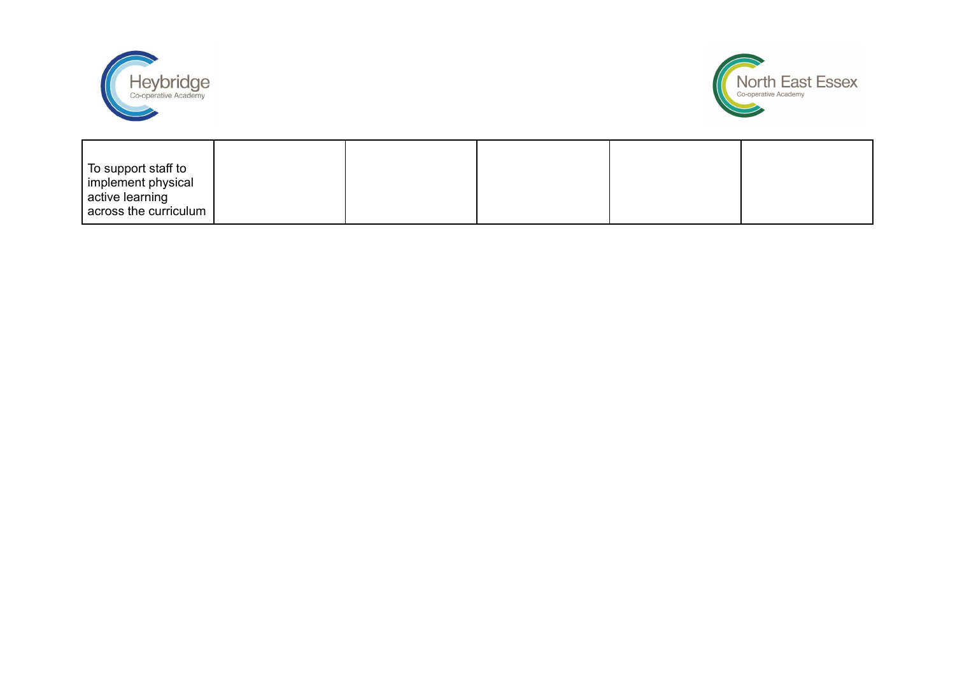



| To support staff to<br>implement physical |  |  |  |
|-------------------------------------------|--|--|--|
| active learning<br>across the curriculum  |  |  |  |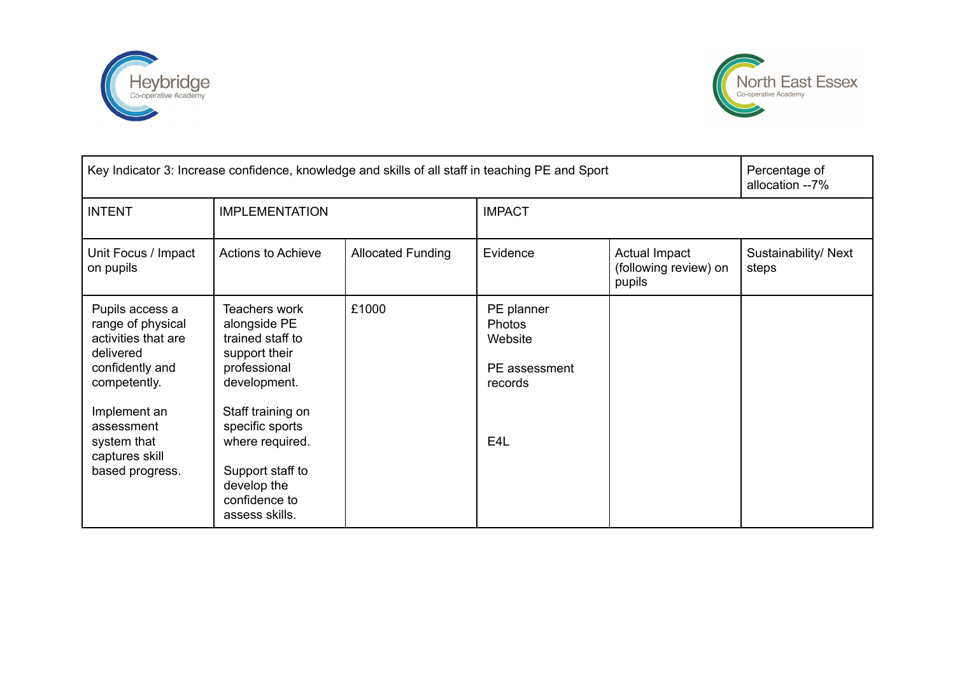



| Key Indicator 3: Increase confidence, knowledge and skills of all staff in teaching PE and Sport                                                                                              |                                                                                                                                                                                                                                            |                          |                                                                                        |                                                  | Percentage of<br>allocation --7% |
|-----------------------------------------------------------------------------------------------------------------------------------------------------------------------------------------------|--------------------------------------------------------------------------------------------------------------------------------------------------------------------------------------------------------------------------------------------|--------------------------|----------------------------------------------------------------------------------------|--------------------------------------------------|----------------------------------|
| <b>INTENT</b>                                                                                                                                                                                 | <b>IMPLEMENTATION</b>                                                                                                                                                                                                                      |                          | <b>IMPACT</b>                                                                          |                                                  |                                  |
| Unit Focus / Impact<br>on pupils                                                                                                                                                              | <b>Actions to Achieve</b>                                                                                                                                                                                                                  | <b>Allocated Funding</b> | Evidence                                                                               | Actual Impact<br>(following review) on<br>pupils | Sustainability/ Next<br>steps    |
| Pupils access a<br>range of physical<br>activities that are<br>delivered<br>confidently and<br>competently.<br>Implement an<br>assessment<br>system that<br>captures skill<br>based progress. | <b>Teachers work</b><br>alongside PE<br>trained staff to<br>support their<br>professional<br>development.<br>Staff training on<br>specific sports<br>where required.<br>Support staff to<br>develop the<br>confidence to<br>assess skills. | £1000                    | PE planner<br><b>Photos</b><br>Website<br>PE assessment<br>records<br>E <sub>4</sub> L |                                                  |                                  |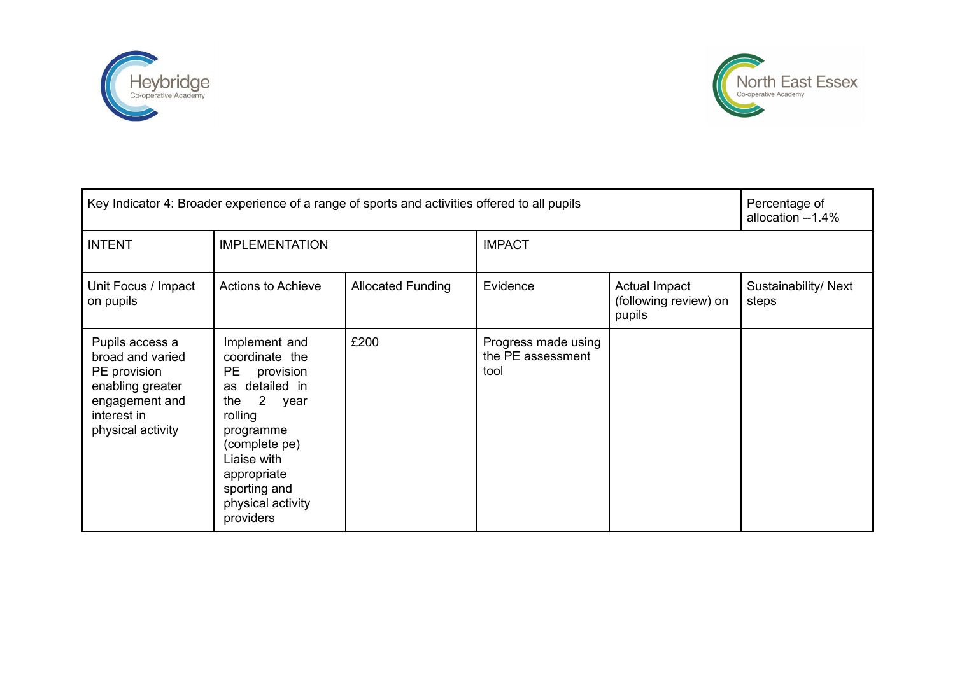



| Key Indicator 4: Broader experience of a range of sports and activities offered to all pupils                                 | Percentage of<br>allocation --1.4%                                                                                                                                                                                                         |                          |                                                  |                                                  |                               |
|-------------------------------------------------------------------------------------------------------------------------------|--------------------------------------------------------------------------------------------------------------------------------------------------------------------------------------------------------------------------------------------|--------------------------|--------------------------------------------------|--------------------------------------------------|-------------------------------|
| <b>INTENT</b>                                                                                                                 | <b>IMPLEMENTATION</b>                                                                                                                                                                                                                      |                          | <b>IMPACT</b>                                    |                                                  |                               |
| Unit Focus / Impact<br>on pupils                                                                                              | Actions to Achieve                                                                                                                                                                                                                         | <b>Allocated Funding</b> | Evidence                                         | Actual Impact<br>(following review) on<br>pupils | Sustainability/ Next<br>steps |
| Pupils access a<br>broad and varied<br>PE provision<br>enabling greater<br>engagement and<br>interest in<br>physical activity | Implement and<br>coordinate the<br>PE<br>provision<br>as detailed in<br>$\overline{\phantom{a}}$ 2<br>the<br>year<br>rolling<br>programme<br>(complete pe)<br>Liaise with<br>appropriate<br>sporting and<br>physical activity<br>providers | £200                     | Progress made using<br>the PE assessment<br>tool |                                                  |                               |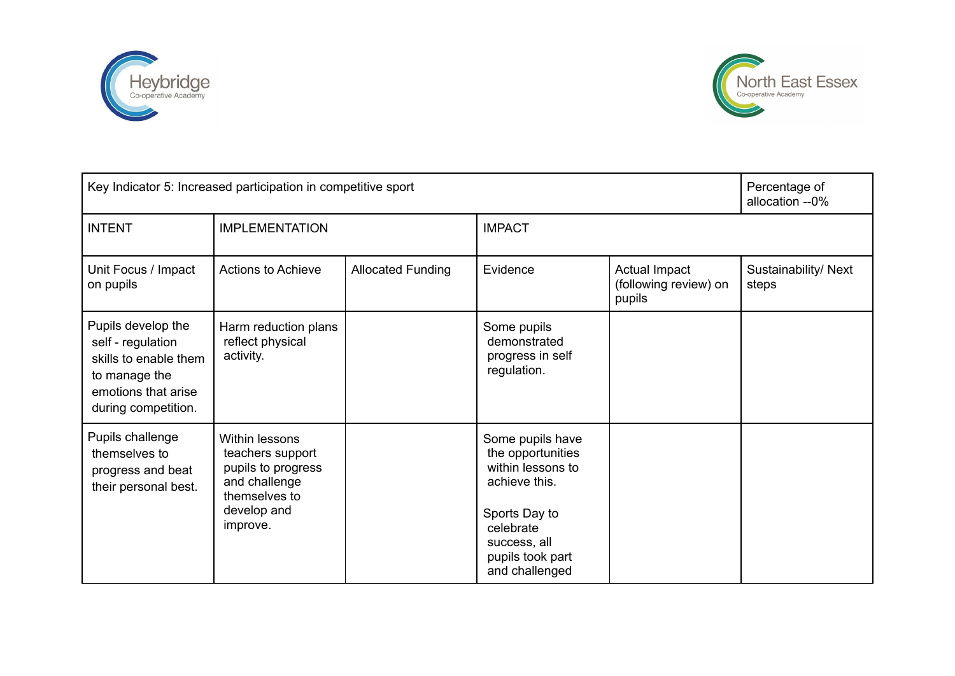



| Key Indicator 5: Increased participation in competitive sport                                                                   |                                                                                                                              |                          |                                                                                                                                                                 | Percentage of<br>allocation --0%                 |                               |
|---------------------------------------------------------------------------------------------------------------------------------|------------------------------------------------------------------------------------------------------------------------------|--------------------------|-----------------------------------------------------------------------------------------------------------------------------------------------------------------|--------------------------------------------------|-------------------------------|
| <b>INTENT</b>                                                                                                                   | <b>IMPLEMENTATION</b>                                                                                                        |                          | <b>IMPACT</b>                                                                                                                                                   |                                                  |                               |
| Unit Focus / Impact<br>on pupils                                                                                                | Actions to Achieve                                                                                                           | <b>Allocated Funding</b> | Evidence                                                                                                                                                        | Actual Impact<br>(following review) on<br>pupils | Sustainability/ Next<br>steps |
| Pupils develop the<br>self - regulation<br>skills to enable them<br>to manage the<br>emotions that arise<br>during competition. | Harm reduction plans<br>reflect physical<br>activity.                                                                        |                          | Some pupils<br>demonstrated<br>progress in self<br>regulation.                                                                                                  |                                                  |                               |
| Pupils challenge<br>themselves to<br>progress and beat<br>their personal best.                                                  | <b>Within lessons</b><br>teachers support<br>pupils to progress<br>and challenge<br>themselves to<br>develop and<br>improve. |                          | Some pupils have<br>the opportunities<br>within lessons to<br>achieve this.<br>Sports Day to<br>celebrate<br>success, all<br>pupils took part<br>and challenged |                                                  |                               |